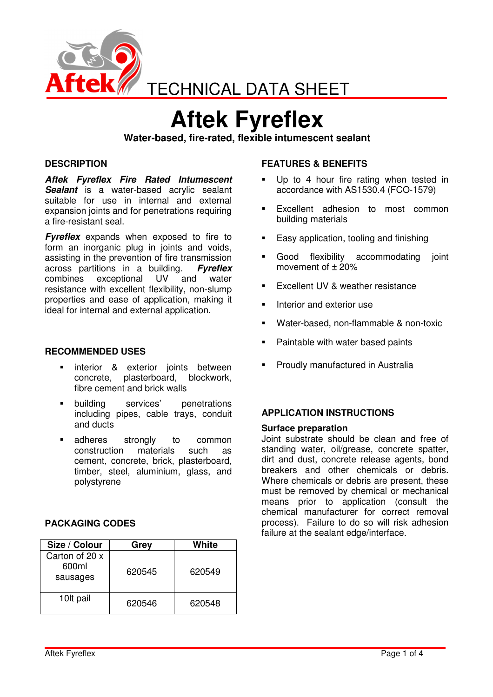

# **Aftek Fyreflex**

**Water-based, fire-rated, flexible intumescent sealant** 

## **DESCRIPTION**

**Aftek Fyreflex Fire Rated Intumescent Sealant** is a water-based acrylic sealant suitable for use in internal and external expansion joints and for penetrations requiring a fire-resistant seal.

**Fyreflex** expands when exposed to fire to form an inorganic plug in joints and voids, assisting in the prevention of fire transmission<br>across partitions in a building. Fureflex across partitions in a building. combines exceptional UV and water resistance with excellent flexibility, non-slump properties and ease of application, making it ideal for internal and external application.

#### **RECOMMENDED USES**

- interior & exterior joints between concrete, plasterboard, blockwork, fibre cement and brick walls
- building services' penetrations including pipes, cable trays, conduit and ducts
- adheres strongly to common construction materials such as cement, concrete, brick, plasterboard, timber, steel, aluminium, glass, and polystyrene

## **PACKAGING CODES**

| Size / Colour                       | Grey   | White  |
|-------------------------------------|--------|--------|
| Carton of 20 x<br>600ml<br>sausages | 620545 | 620549 |
| 10 <sup>t</sup> pail                | 620546 | 620548 |

## **FEATURES & BENEFITS**

- Up to 4 hour fire rating when tested in accordance with AS1530.4 (FCO-1579)
- Excellent adhesion to most common building materials
- **Easy application, tooling and finishing**
- Good flexibility accommodating joint movement of  $± 20%$
- Excellent UV & weather resistance
- Interior and exterior use
- Water-based, non-flammable & non-toxic
- Paintable with water based paints
- Proudly manufactured in Australia

#### **APPLICATION INSTRUCTIONS**

#### **Surface preparation**

Joint substrate should be clean and free of standing water, oil/grease, concrete spatter, dirt and dust, concrete release agents, bond breakers and other chemicals or debris. Where chemicals or debris are present, these must be removed by chemical or mechanical means prior to application (consult the chemical manufacturer for correct removal process). Failure to do so will risk adhesion failure at the sealant edge/interface.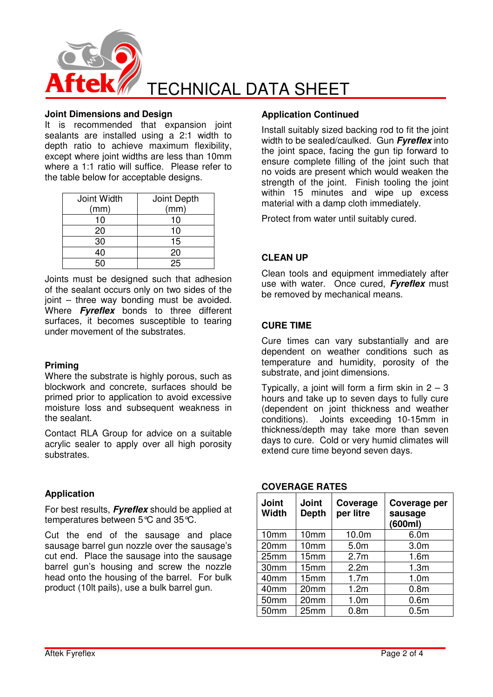

#### **Joint Dimensions and Design**

It is recommended that expansion joint sealants are installed using a 2:1 width to depth ratio to achieve maximum flexibility, except where joint widths are less than 10mm where a 1:1 ratio will suffice. Please refer to the table below for acceptable designs.

| Joint Width | Joint Depth |
|-------------|-------------|
| (mm)        | (mm)        |
| 10          | 10          |
| 20          | 10          |
| 30          | 15          |
| 40          | 20          |
|             | 25          |

Joints must be designed such that adhesion of the sealant occurs only on two sides of the joint – three way bonding must be avoided. Where **Fyreflex** bonds to three different surfaces, it becomes susceptible to tearing under movement of the substrates.

#### **Priming**

Where the substrate is highly porous, such as blockwork and concrete, surfaces should be primed prior to application to avoid excessive moisture loss and subsequent weakness in the sealant.

Contact RLA Group for advice on a suitable acrylic sealer to apply over all high porosity substrates.

# **Application**

For best results, **Fyreflex** should be applied at temperatures between 5°C and 35°C.

Cut the end of the sausage and place sausage barrel gun nozzle over the sausage's cut end. Place the sausage into the sausage barrel gun's housing and screw the nozzle head onto the housing of the barrel. For bulk product (10lt pails), use a bulk barrel gun.

## **Application Continued**

Install suitably sized backing rod to fit the joint width to be sealed/caulked. Gun **Fyreflex** into the joint space, facing the gun tip forward to ensure complete filling of the joint such that no voids are present which would weaken the strength of the joint. Finish tooling the joint within 15 minutes and wipe up excess material with a damp cloth immediately.

Protect from water until suitably cured.

## **CLEAN UP**

Clean tools and equipment immediately after use with water. Once cured, **Fyreflex** must be removed by mechanical means.

## **CURE TIME**

Cure times can vary substantially and are dependent on weather conditions such as temperature and humidity, porosity of the substrate, and joint dimensions.

Typically, a joint will form a firm skin in  $2 - 3$ hours and take up to seven days to fully cure (dependent on joint thickness and weather conditions). Joints exceeding 10-15mm in thickness/depth may take more than seven days to cure. Cold or very humid climates will extend cure time beyond seven days.

| <b>Joint</b><br><b>Width</b> | <b>Joint</b><br><b>Depth</b> | Coverage<br>per litre | Coverage per<br>sausage<br>(600ml) |
|------------------------------|------------------------------|-----------------------|------------------------------------|
| 10mm                         | 10mm                         | 10.0m                 | 6.0 <sub>m</sub>                   |
| 20mm                         | 10mm                         | 5.0m                  | 3.0 <sub>m</sub>                   |
| 25mm                         | 15mm                         | 2.7 <sub>m</sub>      | 1.6 <sub>m</sub>                   |
| 30mm                         | 15mm                         | 2.2 <sub>m</sub>      | 1.3 <sub>m</sub>                   |
| 40mm                         | 15mm                         | 1.7 <sub>m</sub>      | 1.0 <sub>m</sub>                   |
| 40mm                         | 20mm                         | 1.2m                  | 0.8 <sub>m</sub>                   |
| 50mm                         | 20mm                         | 1.0 <sub>m</sub>      | 0.6 <sub>m</sub>                   |
| 50mm                         | 25mm                         | 0.8 <sub>m</sub>      | 0.5 <sub>m</sub>                   |

## **COVERAGE RATES**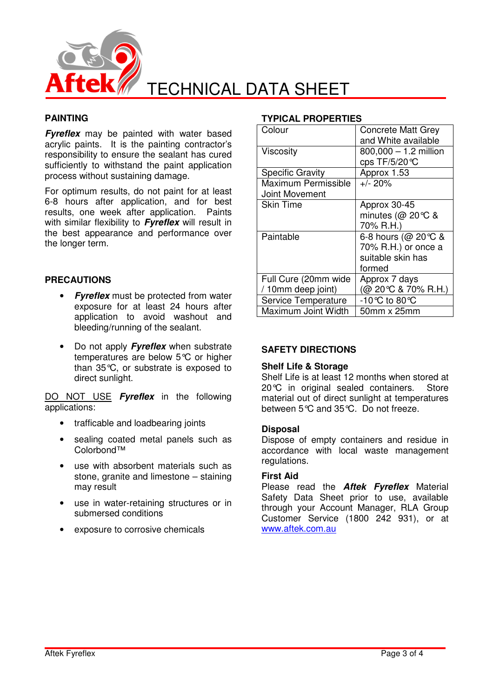

## **PAINTING**

**Fyreflex** may be painted with water based acrylic paints. It is the painting contractor's responsibility to ensure the sealant has cured sufficiently to withstand the paint application process without sustaining damage.

For optimum results, do not paint for at least 6-8 hours after application, and for best results, one week after application. Paints with similar flexibility to **Fyreflex** will result in the best appearance and performance over the longer term.

## **PRECAUTIONS**

- **Fyreflex** must be protected from water exposure for at least 24 hours after application to avoid washout and bleeding/running of the sealant.
- Do not apply **Fyreflex** when substrate temperatures are below 5°C or higher than 35°C, or substrate is exposed to direct sunlight.

DO NOT USE **Fyreflex** in the following applications:

- trafficable and loadbearing joints
- sealing coated metal panels such as Colorbond™
- use with absorbent materials such as stone, granite and limestone – staining may result
- use in water-retaining structures or in submersed conditions
- exposure to corrosive chemicals

#### **TYPICAL PROPERTIES**

| Colour                                     | <b>Concrete Matt Grey</b><br>and White available                          |
|--------------------------------------------|---------------------------------------------------------------------------|
| Viscosity                                  | $800,000 - 1.2$ million<br>cps TF/5/20 ℃                                  |
| <b>Specific Gravity</b>                    | Approx 1.53                                                               |
| Maximum Permissible<br>Joint Movement      | $+/- 20\%$                                                                |
| <b>Skin Time</b>                           | Approx 30-45<br>minutes ( $@$ 20 °C &<br>70% R.H.)                        |
| Paintable                                  | 6-8 hours (@ 20 ℃ &<br>70% R.H.) or once a<br>suitable skin has<br>formed |
| Full Cure (20mm wide<br>/ 10mm deep joint) | Approx 7 days<br>(@ 20℃ & 70% R.H.)                                       |
| Service Temperature<br>Maximum Joint Width | -10℃ to 80℃<br>50mm x 25mm                                                |

## **SAFETY DIRECTIONS**

#### **Shelf Life & Storage**

Shelf Life is at least 12 months when stored at 20°C in original sealed containers. Store material out of direct sunlight at temperatures between 5°C and 35°C. Do not freeze.

#### **Disposal**

Dispose of empty containers and residue in accordance with local waste management regulations.

#### **First Aid**

Please read the **Aftek Fyreflex** Material Safety Data Sheet prior to use, available through your Account Manager, RLA Group Customer Service (1800 242 931), or at www.aftek.com.au